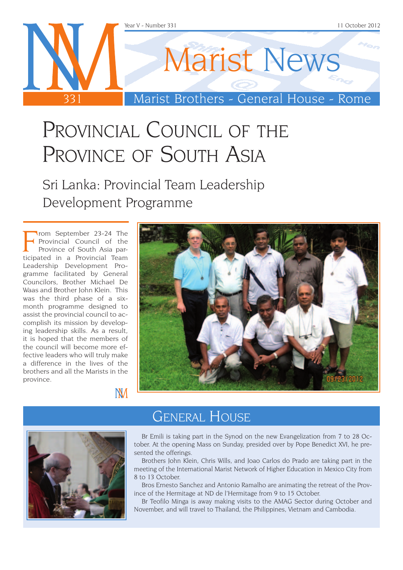

## PROVINCIAL COUNCIL OF THE PROVINCE OF SOUTH ASIA

Sri Lanka: Provincial Team Leadership Development Programme

From September 23-24 The<br>Frovincial Council of the<br>Province of South Asia par-<br>ticipated in a Provincial Team rom September 23-24 The Provincial Council of the Province of South Asia par-Leadership Development Programme facilitated by General Councilors, Brother Michael De Waas and Brother John Klein. This was the third phase of a sixmonth programme designed to assist the provincial council to accomplish its mission by developing leadership skills. As a result, it is hoped that the members of the council will become more effective leaders who will truly make a difference in the lives of the brothers and all the Marists in the province.





**NM** 

### General House

Br Emili is taking part in the Synod on the new Evangelization from 7 to 28 October. At the opening Mass on Sunday, presided over by Pope Benedict XVI, he presented the offerings.

Brothers John Klein, Chris Wills, and Joao Carlos do Prado are taking part in the meeting of the International Marist Network of Higher Education in Mexico City from 8 to 13 October.

Bros Ernesto Sanchez and Antonio Ramalho are animating the retreat of the Province of the Hermitage at ND de l'Hermitage from 9 to 15 October.

Br Teofilo Minga is away making visits to the AMAG Sector during October and November, and will travel to Thailand, the Philippines, Vietnam and Cambodia.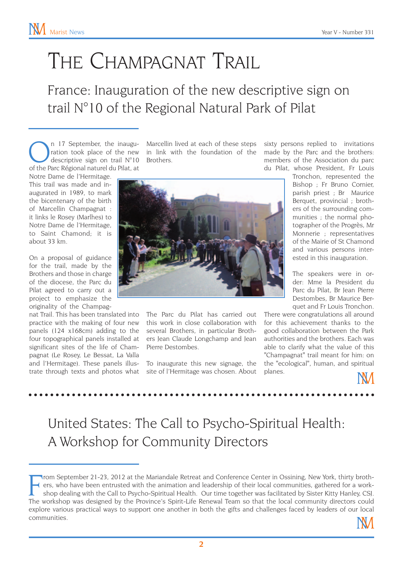# THE CHAMPAGNAT TRAIL

France: Inauguration of the new descriptive sign on trail N°10 of the Regional Natural Park of Pilat

 $\bigcap_{\text{ratio}}$  n 17 September, the inaugu-<br>descriptive sign on trail  $N^{\circ}10$ <br>of the Parc Régional naturel du Pilat, at ration took place of the new of the Parc Régional naturel du Pilat, at

Notre Dame de l'Hermitage. This trail was made and inaugurated in 1989, to mark the bicentenary of the birth of Marcellin Champagnat : it links le Rosey (Marlhes) to Notre Dame de l'Hermitage, to Saint Chamond; it is about 33 km.

On a proposal of guidance for the trail, made by the Brothers and those in charge of the diocese, the Parc du Pilat agreed to carry out a project to emphasize the originality of the Champag-

nat Trail. This has been translated into practice with the making of four new panels (124 x168cm) adding to the four topographical panels installed at significant sites of the life of Champagnat (Le Rosey, Le Bessat, La Valla and l'Hermitage). These panels illustrate through texts and photos what

n 17 September, the inaugu- Marcellin lived at each of these steps in link with the foundation of the Brothers.



The Parc du Pilat has carried out this work in close collaboration with several Brothers, in particular Brothers Jean Claude Longchamp and Jean Pierre Destombes.

To inaugurate this new signage, the site of l'Hermitage was chosen. About sixty persons replied to invitations made by the Parc and the brothers: members of the Association du parc du Pilat, whose President, Fr Louis

Tronchon, represented the Bishop ; Fr Bruno Cornier, parish priest ; Br Maurice Berquet, provincial ; brothers of the surrounding communities ; the normal photographer of the Progrès, Mr Monnerie ; representatives of the Mairie of St Chamond and various persons interested in this inauguration.

The speakers were in order: Mme la President du Parc du Pilat, Br Jean Pierre Destombes, Br Maurice Berquet and Fr Louis Tronchon.

There were congratulations all around for this achievement thanks to the good collaboration between the Park authorities and the brothers. Each was able to clarify what the value of this "Champagnat" trail meant for him: on the "ecological", human, and spiritual planes.

### United States: The Call to Psycho-Spiritual Health: A Workshop for Community Directors

From September 21-23, 2012 at the Mariandale Retreat and Conference Center in Ossining, New York, thirty brothers, who have been entrusted with the animation and leadership of their local communities, gathered for a worksh rom September 21-23, 2012 at the Mariandale Retreat and Conference Center in Ossining, New York, thirty brothers, who have been entrusted with the animation and leadership of their local communities, gathered for a workshop dealing with the Call to Psycho-Spiritual Health. Our time together was facilitated by Sister Kitty Hanley, CSJ. explore various practical ways to support one another in both the gifts and challenges faced by leaders of our local communities.

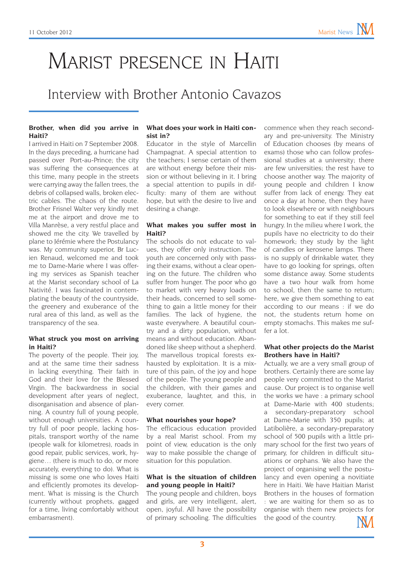## Marist presence in Haiti

### Interview with Brother Antonio Cavazos

#### **Brother, when did you arrive in Haiti?**

I arrived in Haiti on 7 September 2008. In the days preceding, a hurricane had passed over Port-au-Prince; the city was suffering the consequences at this time, many people in the streets were carrying away the fallen trees, the debris of collapsed walls, broken electric cables. The chaos of the route. Brother Frisnel Walter very kindly met me at the airport and drove me to Villa Manrèse, a very restful place and showed me the city. We travelled by plane to Jérémie where the Postulancy was. My community superior, Br Lucien Renaud, welcomed me and took me to Dame-Marie where I was offering my services as Spanish teacher at the Marist secondary school of La Nativité. I was fascinated in contemplating the beauty of the countryside, the greenery and exuberance of the rural area of this land, as well as the transparency of the sea.

#### **What struck you most on arriving in Haiti?**

The poverty of the people. Their joy, and at the same time their sadness in lacking everything. Their faith in God and their love for the Blessed Virgin. The backwardness in social development after years of neglect, disorganisation and absence of planning. A country full of young people, without enough universities. A country full of poor people, lacking hospitals, transport worthy of the name (people walk for kilometres), roads in good repair, public services, work, hygiene… (there is much to do, or more accurately, everything to do). What is missing is some one who loves Haiti and efficiently promotes its development. What is missing is the Church (currently without prophets, gagged for a time, living comfortably without embarrasment).

#### **What does your work in Haiti consist in?**

Educator in the style of Marcellin Champagnat. A special attention to the teachers; I sense certain of them are without energy before their mission or without believing in it. I bring a special attention to pupils in difficulty: many of them are without hope, but with the desire to live and desiring a change.

#### **What makes you suffer most in Haiti?**

The schools do not educate to values, they offer only instruction. The youth are concerned only with passing their exams, without a clear opening on the future. The children who suffer from hunger. The poor who go to market with very heavy loads on their heads, concerned to sell something to gain a little money for their families. The lack of hygiene, the waste everywhere. A beautiful country and a dirty population, without means and without education. Abandoned like sheep without a shepherd. The marvellous tropical forests exhausted by exploitation. It is a mixture of this pain, of the joy and hope of the people. The young people and the children, with their games and exuberance, laughter, and this, in every corner.

#### **What nourishes your hope?**

The efficacious education provided by a real Marist school. From my point of view, education is the only way to make possible the change of situation for this population.

### **What is the situation of children and young people in Haiti?**

The young people and children, boys and girls, are very intelligent, alert, open, joyful. All have the possibility of primary schooling. The difficulties

commence when they reach secondary and pre-university. The Ministry of Education chooses (by means of exams) those who can follow professional studies at a university; there are few universities; the rest have to choose another way. The majority of young people and children I know suffer from lack of energy. They eat once a day at home, then they have to look elsewhere or with neighbours for something to eat if they still feel hungry. In the milieu where I work, the pupils have no electricity to do their homework; they study by the light of candles or kerosene lamps. There is no supply of drinkable water, they have to go looking for springs, often some distance away. Some students have a two hour walk from home to school, then the same to return; here, we give them something to eat according to our means : if we do not, the students return home on empty stomachs. This makes me suffer a lot.

### **What other projects do the Marist Brothers have in Haiti?**

Actually, we are a very small group of brothers. Certainly there are some lay people very committed to the Marist cause. Our project is to organise well the works we have : a primary school at Dame-Marie with 400 students; a secondary-preparatory school at Dame-Marie with 350 pupils; at Latibolière, a secondary-preparatory school of 500 pupils with a little primary school for the first two years of primary, for children in difficult situations or orphans. We also have the project of organising well the postulancy and even opening a novitiate here in Haiti. We have Haitian Marist Brothers in the houses of formation : we are waiting for them so as to organise with them new projects for the good of the country.